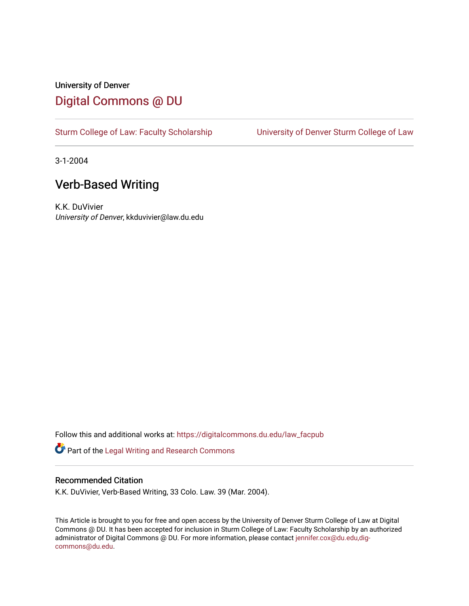## University of Denver [Digital Commons @ DU](https://digitalcommons.du.edu/)

[Sturm College of Law: Faculty Scholarship](https://digitalcommons.du.edu/law_facpub) [University of Denver Sturm College of Law](https://digitalcommons.du.edu/denver_law) 

3-1-2004

## Verb-Based Writing

K.K. DuVivier University of Denver, kkduvivier@law.du.edu

Follow this and additional works at: [https://digitalcommons.du.edu/law\\_facpub](https://digitalcommons.du.edu/law_facpub?utm_source=digitalcommons.du.edu%2Flaw_facpub%2F410&utm_medium=PDF&utm_campaign=PDFCoverPages) 

Part of the [Legal Writing and Research Commons](http://network.bepress.com/hgg/discipline/614?utm_source=digitalcommons.du.edu%2Flaw_facpub%2F410&utm_medium=PDF&utm_campaign=PDFCoverPages) 

#### Recommended Citation

K.K. DuVivier, Verb-Based Writing, 33 Colo. Law. 39 (Mar. 2004).

This Article is brought to you for free and open access by the University of Denver Sturm College of Law at Digital Commons @ DU. It has been accepted for inclusion in Sturm College of Law: Faculty Scholarship by an authorized administrator of Digital Commons @ DU. For more information, please contact [jennifer.cox@du.edu,dig](mailto:jennifer.cox@du.edu,dig-commons@du.edu)[commons@du.edu.](mailto:jennifer.cox@du.edu,dig-commons@du.edu)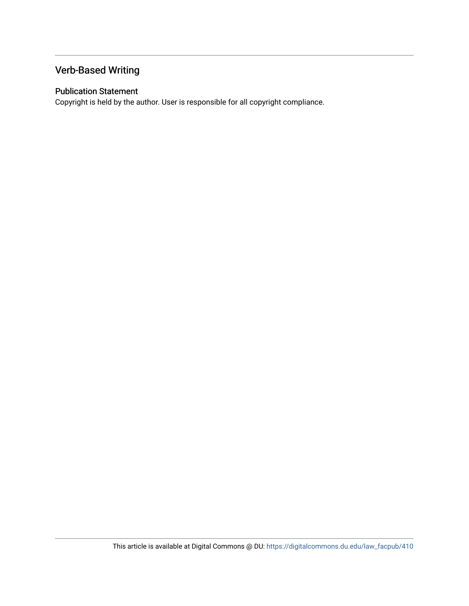## Verb-Based Writing

### Publication Statement

Copyright is held by the author. User is responsible for all copyright compliance.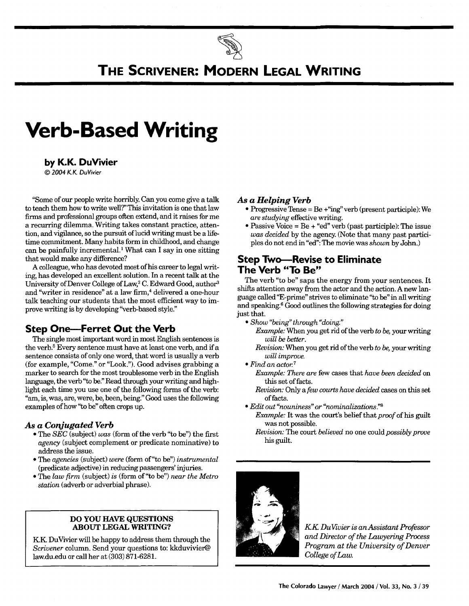# **THE SCRIVENER: MODERN LEGAL WRITING**

# **Verb-Based Writing**

#### **by K.K. DuVivier**

*©* 2004 KK DuVivier

"Some of our people write horribly Can you come give a talk to teach them how to write well?" This invitation is one that law firms and professional groups often extend, and it raises for me a recurring dilemma. Writing takes constant practice, attention, and vigilance, so the pursuit of lucid writing must be a lifetime commitment. Many habits form in childhood, and change can be painfully incremental.1 What can I say in one sitting that would make any difference?

A colleague, who has devoted most of his career to legal writing, has developed an excellent solution. In a recent talk at the University of Denver College of Law,<sup>2</sup> C. Edward Good, author<sup>3</sup> and "writer in residence" at a law firm,<sup>4</sup> delivered a one-hour talk teaching our students that the most efficient way to improve writing is by developing "verb-based style."

## **Step One-Ferret Out the Verb**

The single most important word in most English sentences is the verb.<sup>5</sup> Every sentence must have at least one verb, and if a sentence consists of only one word, that word is usually a verb (for example, "Come." or "Look."). Good advises grabbing a marker to search for the most troublesome verb in the English language, the verb "to be." Read through your writing and highlight each time you use one of the following forms of the verb: "am, is, was, are, were, be, been, being." Good uses the following examples of how "to be" often crops up.

#### *As a Conjugated Verb*

- \* The *SEC* (subject) *was* (form of the verb "to be") the first *agency* (subject complement or predicate nominative) to address the issue.
- **"** The *agencies* (subject) *were* (form of"to be") *instrumental* (predicate adjective) in reducing passengers' injuries.
- **"** The *law firm* (subject) *is* (form of"to be") *near the Metro station* (adverb or adverbial phrase).

#### **DO YOU HAVE QUESTIONS ABOUT LEGAL WRITING?**

KK DuVivier will be happy to address them through the *Scrivener* column. Send your questions to: kkduvivier@ law.du.edu or call her at (303) 871-6281.

#### *As a Helping Verb*

- \* Progressive Tense **=** Be +"ing" verb (present participle): We *are studying* effective writing.
- \* Passive Voice **=** Be **+** "ed" verb (past participle): The issue *was decided* **by** the agency. (Note that many past partici**ples** do not end in "ed": The movie was *shown* **by** John.)

### **Step Two-Revise to Eliminate The Verb "To Be"**

The verb "to be" saps the energy from your sentences. It shifts attention away from the actor and the action. A new language called "E-prime" strives to eliminate "to be" in all writing and speaking.6 Good outlines the following strategies for doing just that.

- *" Show "being" through "doing."*
	- *Example:* When you get rid of the verb *to be,* your writing *will be better.*
	- *Revision:* When you get rid of the verb *to be,* your writing *will improve.*
- *" Find an actor<sup>7</sup> Example: There are* few cases that *have been decided* on this set of facts.
	- *Revision:* Only a *few courts have decided* cases on this set of facts.
- *" Edit out "nouniness" or "nominalizations."8*
	- *Example:* It was the court's belief that *proof* of his guilt was not possible.
	- *Revision:* The court *believed* no one could *possibly prove* his guilt.



*U KK DuVivier is anAssistant Professor and Director of the Lawyering Process Program at the University of Denver College of Law.*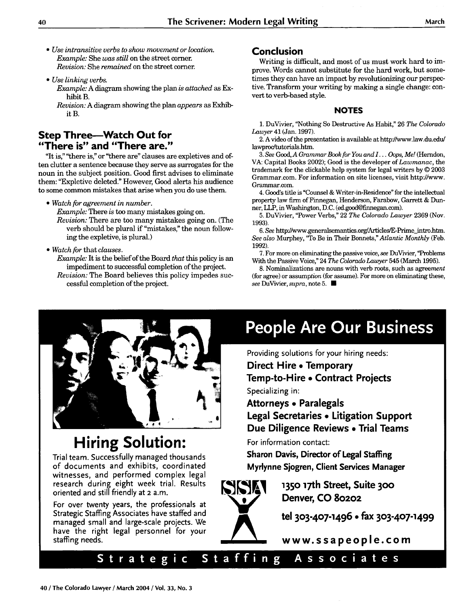- *" Use intransitive verbs to show movement or location. Example:* She *was still* on the street corner. *Revision:* She *remained* on the street corner.
- *Use linking verbs.*
	- *Example:* A diagram showing the plan *is attached* as Exhibit B.
	- *Revision:* A diagram showing the plan *appears* as Exhibit B.

## **Step Three--Watch Out for "There is" and "There are."**

"It is," "there is," or "there are" clauses are expletives and often clutter a sentence because they serve as surrogates for the noun in the subject position. Good first advises to eliminate them: "Expletive deleted." However, Good alerts his audience to some common mistakes that arise when you do use them.

" *Watch for agreement in number.*

*Example:* There is too many mistakes going on.

*Revision:* There are too many mistakes going on. (The verb should be plural if "mistakes," the noun following the expletive, is plural.)

" *Watch for* that *clauses.*

*Example:* It is the belief of the Board *that* this policy is an impediment to successful completion of the project.

*Revision:* The Board believes this policy impedes successful completion of the project.

### **Conclusion**

Writing is difficult, and most of us must work hard to improve. Words cannot substitute for the hard work, but sometimes they can have an impact by revolutionizing our perspective. Transform your writing by making a single change: convert to verb-based style.

#### **NOTES**

1. DuVivier, "Nothing So Destructive As Habit," 26 *The Colorado Lawyer* 41 (Jan. 1997).

2. A video of the presentation is available at httpY/vww.law.du.edu/ lawproc/tutorials.htm.

*3. See* Good, *A Grammar Book for You and I... Oops, Me!* (Herndon, VA: Capital Books 2002); Good is the developer of *Lawmanac,* the trademark for the clickable help system for legal writers by © 2003 Grammar.com. For information on site licenses, visit http://www. Grammar.com.

4. Good's title is "Counsel & Writer-in-Residence" for the intellectual property law firm of Finnegan, Henderson, Farabow, Garrett & Dunner, LLP, in Washington, D.C. (ed.good@finnegan.com).

5. DuVivier, "Power Verbs," 22 *The Colorado Lawyer* 2369 (Nov. 1993).

6. See http://www.generalsemantics.org/Articles/E-Prime intro.htm. *See also* Murphey, "To Be in Their Bonnets," *Atlantic Monthly* (Feb. 1992).

7. For more on eliminating the passive voice, *see* DuVivier, "Problems With the Passive Voice," 24 *The Colorado Lawyer* 545 (March 1995).

8. Nominalizations are nouns with verb roots, such as agreement (for agree) or assumption (for assume). For more on eliminating these, *see* DuVivier, *supra,* note 5. **E**



**4**

# **Hiring Solution:**

Trial team. Successfully managed thousands of documents and exhibits, coordinated witnesses, and performed complex legal research during eight week trial. Results oriented and still friendly at 2 a.m.

For over twenty years, the professionals at Strategic Staffing Associates have staffed and managed small and large-scale projects. We have the right legal personnel for your staffing needs.

# **People Are Our Business**

Providing solutions for your hiring needs:

**Direct Hire • Temporary**

**Temp-to-Hire e Contract Projects** Specializing in:

**Attorneys e Paralegals Legal Secretaries \* Litigation Support**

**Due Diligence Reviews e Trial Teams**

For information contact:

**Sharon Davis, Director of Legal Staffing Myrlynne Sjogren, Client Services Manager**



**1350 17th Street, Suite 300 Denver, CO 80202**

**tel 303-407-1496 0 fax 303-407-1499**

**www. ss a people. corn**

## Strategic Staffing Associates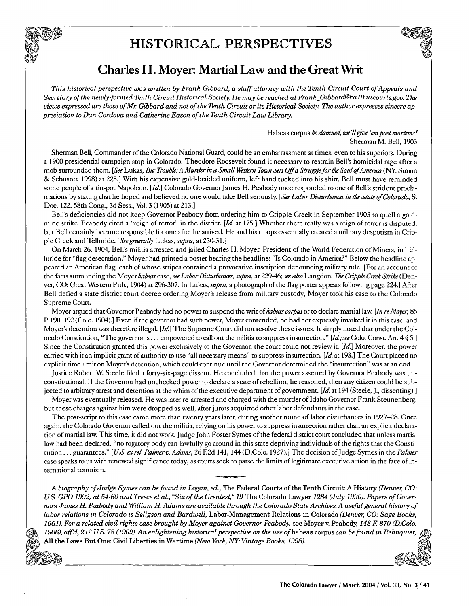# HISTORICAL PERSPECTIVES



## Charles H. Moyer. Martial Law and the Great Writ

*This historical perspective was written by Frank Gibbard, a staff attorney with the Tenth Circuit Court of Appeals and Secretary of the newly-formed Tenth Circuit Historical Society. He may be reached at FrankGibbard@calO.uscourts.gov. The views expressed are those of Mr Gibbard and not of the Tenth Circuit or its Historical Society. The author expresses sincere appreciation to Dan Cordova and Catherine Eason of the Tenth Circuit Law Library.*

> Habeas corpus be *damned, we'll give 'em post mortems!* Sherman M. Bell, 1903

Sherman Bell, Commander of the Colorado National Guard, could be an embarrassment at times, even to his superiors. During a 1900 presidential campaign stop in Colorado, Theodore Roosevelt found it necessary to restrain Bell's homicidal rage after a mob surrounded them. *[See* Lukas, *Big Trouble: A Murder in a Small Westen* Town *Sets Off a Strugflefor* the *Soul ofAmerica* (NY: Simon & Schuster, 1998) at 225.] With his expensive gold-braided uniform, left hand tucked into his shirt, Bell must have reminded some people of a tin-pot Napoleon. *[Id]* Colorado Governor James H. Peabody once responded to one of Bell's strident proclamations by stating that he hoped and believed no one would take Bell seriously. *[See Labor Disturbances in the State of Colorado, S.* Doc. 122, 58th Cong., 3d Sess., Vol. 3 (1905) at 213.1

Bell's deficiencies did not keep Governor Peabody from ordering him to Cripple Creek in September 1903 to quell a goldmine strike. Peabody cited a "reign of terror" in the district. [ $Id$  at 175.] Whether there really was a reign of terror is disputed, but Bell certainly became responsible for one after he arrived. He and his troops essentially created a military despotism in Cripple Creek and Telluride. *[Seegenerally* Lukas, *supra,* at 230-31.]

On March 26, 1904, Bell's militia arrested and jailed Charles H. Moyer, President of the World Federation of Miners, in Telluride for "flag desecration." Moyer had printed a poster bearing the headline: "Is Colorado in America?" Below the headline appeared an American flag, each of whose stripes contained a provocative inscription denouncing military rule. [For an account of the facts surrounding the Moyer *habeas* case, *see Labor Disturbances, supra,* at 229-46; *see also* Langdon, *The Cripple* Creek *Strike* (Denver, CO: Great Western Pub., 1904) at 296-307. In Lukas, *supra,* a photograph of the flag poster appears following page 224.] After Bell defied a state district court decree ordering Moyer's release from military custody, Moyer took his case to the Colorado Supreme Court.

Moyer argued that Governor Peabody had no power to suspend the writ *of habeas corpus* or to declare martial law *[In reMoyer,* 85 P 190, 192 (Colo. 1904).] Even if the governor had such power, Moyer contended, he had not expressly invoked it in this case, and Moyer's detention was therefore illegal. *[Id]* The Supreme Court did not resolve these issues. It simply noted that under the Colorado Constitution, "The governor is... empowered to call out the militia to suppress insurrection." *[Id;see* Colo. Const. Art. 4 § 5.] Since the Constitution granted this power exclusively to the Governor, the court could not review it. *[Id]* Moreover, the power carried with it an implicit grant of authority to use "all necessary means" to suppress insurrection. [Id. at 193.] The Court placed no explicit time limit on Moyer's detention, which could continue until the Governor determined the "insurrection" was at an end.

Justice Robert W Steele filed a forty-six-page dissent. He concluded that the power asserted by Governor Peabody was unconstitutional. If the Governor had unchecked power to declare a state of rebellion, he reasoned, then any citizen could be subjected to arbitrary arrest and detention at the whim of the executive department of government. [Id. at 194 (Steele, J., dissenting).]

Moyer was eventually released. He was later re-arrested and charged with the murder of Idaho Governor Frank Steunenberg, but these charges against him were dropped as well, after jurors acquitted other labor defendants in the case.

The post-script to this case came more than twenty years later, during another round of labor disturbances in 1927-28. Once again, the Colorado Governor called out the militia, relying on his power to suppress insurrection rather than an explicit declaration of martial law. This time, it did not work. Judge John Foster Symes of the federal district court concluded that unless martial law had been declared, "no rogatory body can lawfully go around in this state depriving individuals of the rights that the Constitution... guarantees." *[U.S. exrel. Palmerv. Adams,* 26 E2d 141,144 (D.Colo. 1927).] The decision of Judge Symes in the *Palmer* case speaks to us with renewed significance today, as courts seek to parse the limits of legitimate executive action in the face of international terrorism.

*A biography of Judge Symes can be found in Logan, ed.,* The Federal Courts of the Tenth Circuit: **A** History *(Denver, CO:* U.S. GPO 1992) at 54-60 and Treece et al., "Six of the Greatest," 19 The Colorado Lawyer 1284 (July 1990). Papers of Gover*nors James H. Peabody and William H. Adams are available through the Colorado State Archives. A useful general history of labor relations in Colorado is Seligson and Bardwell,* Labor-Management Relations in Colorado *(Denver, CO: Sage Books, 1961). For a related civil rights case brought by Moyer against Governor Peabody,* see Moyer v. Peabody, *148 F 870 (D.Colo.* 1906),  $affd$ , 212 U.S. 78 (1909). An enlightening historical perspective on the use of habeas corpus can be found in Rehnquist, All the Laws But One: Civil Liberties in Wartime (New York, NY: Vintage Books, 1998).